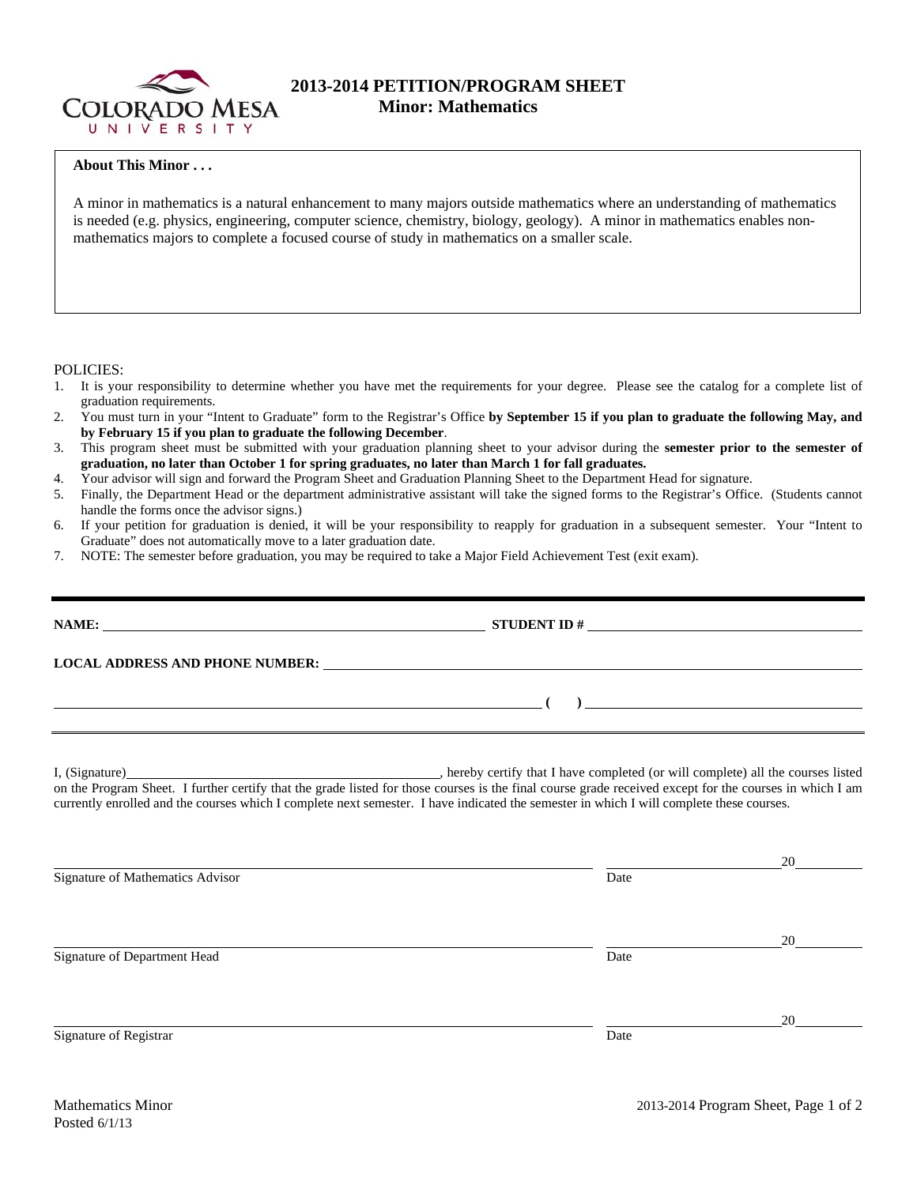

## **2013-2014 PETITION/PROGRAM SHEET Minor: Mathematics**

## **About This Minor . . .**

A minor in mathematics is a natural enhancement to many majors outside mathematics where an understanding of mathematics is needed (e.g. physics, engineering, computer science, chemistry, biology, geology). A minor in mathematics enables nonmathematics majors to complete a focused course of study in mathematics on a smaller scale.

## POLICIES:

- 1. It is your responsibility to determine whether you have met the requirements for your degree. Please see the catalog for a complete list of graduation requirements.
- 2. You must turn in your "Intent to Graduate" form to the Registrar's Office **by September 15 if you plan to graduate the following May, and by February 15 if you plan to graduate the following December**.
- 3. This program sheet must be submitted with your graduation planning sheet to your advisor during the **semester prior to the semester of graduation, no later than October 1 for spring graduates, no later than March 1 for fall graduates.**
- 4. Your advisor will sign and forward the Program Sheet and Graduation Planning Sheet to the Department Head for signature.
- 5. Finally, the Department Head or the department administrative assistant will take the signed forms to the Registrar's Office. (Students cannot handle the forms once the advisor signs.)
- 6. If your petition for graduation is denied, it will be your responsibility to reapply for graduation in a subsequent semester. Your "Intent to Graduate" does not automatically move to a later graduation date.
- 7. NOTE: The semester before graduation, you may be required to take a Major Field Achievement Test (exit exam).

|                                         | $\overline{a}$ (b) and $\overline{a}$ (c) and $\overline{a}$ (c) and $\overline{a}$ (c) and $\overline{a}$ (c) and $\overline{a}$ (c) and $\overline{a}$ (c) and $\overline{a}$ (c) and $\overline{a}$ (c) and $\overline{a}$ (c) and $\overline{a}$ (c) and $\overline{a}$ (c) and $\overline{a}$ (c) and |              |  |  |  |  |  |
|-----------------------------------------|------------------------------------------------------------------------------------------------------------------------------------------------------------------------------------------------------------------------------------------------------------------------------------------------------------|--------------|--|--|--|--|--|
|                                         | on the Program Sheet. I further certify that the grade listed for those courses is the final course grade received except for the courses in which I am<br>currently enrolled and the courses which I complete next semester. I have indicated the semester in which I will complete these courses.        |              |  |  |  |  |  |
|                                         | the control of the control of the control of the control of the control of the control of the control of the control of the control of the control of the control of the control of the control of the control of the control                                                                              | 20           |  |  |  |  |  |
| <b>Signature of Mathematics Advisor</b> | Date                                                                                                                                                                                                                                                                                                       |              |  |  |  |  |  |
| Signature of Department Head            | Date                                                                                                                                                                                                                                                                                                       | $20 \degree$ |  |  |  |  |  |
| Signature of Registrar                  | Date                                                                                                                                                                                                                                                                                                       |              |  |  |  |  |  |